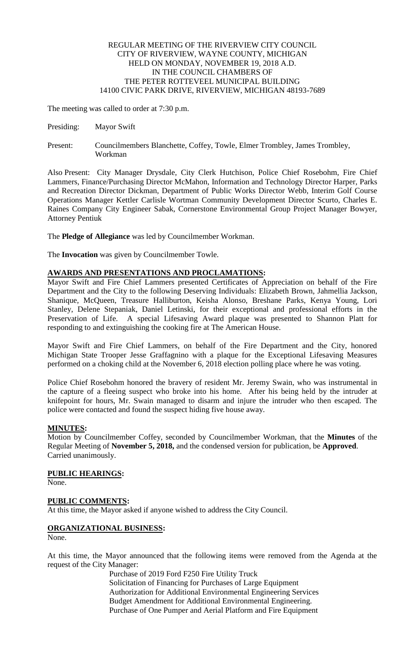#### REGULAR MEETING OF THE RIVERVIEW CITY COUNCIL CITY OF RIVERVIEW, WAYNE COUNTY, MICHIGAN HELD ON MONDAY, NOVEMBER 19, 2018 A.D. IN THE COUNCIL CHAMBERS OF THE PETER ROTTEVEEL MUNICIPAL BUILDING 14100 CIVIC PARK DRIVE, RIVERVIEW, MICHIGAN 48193-7689

The meeting was called to order at 7:30 p.m.

- Presiding: Mayor Swift
- Present: Councilmembers Blanchette, Coffey, Towle, Elmer Trombley, James Trombley, Workman

Also Present: City Manager Drysdale, City Clerk Hutchison, Police Chief Rosebohm, Fire Chief Lammers, Finance/Purchasing Director McMahon, Information and Technology Director Harper, Parks and Recreation Director Dickman, Department of Public Works Director Webb, Interim Golf Course Operations Manager Kettler Carlisle Wortman Community Development Director Scurto, Charles E. Raines Company City Engineer Sabak, Cornerstone Environmental Group Project Manager Bowyer, Attorney Pentiuk

The **Pledge of Allegiance** was led by Councilmember Workman.

The **Invocation** was given by Councilmember Towle.

# **AWARDS AND PRESENTATIONS AND PROCLAMATIONS:**

Mayor Swift and Fire Chief Lammers presented Certificates of Appreciation on behalf of the Fire Department and the City to the following Deserving Individuals: Elizabeth Brown, Jahmellia Jackson, Shanique, McQueen, Treasure Halliburton, Keisha Alonso, Breshane Parks, Kenya Young, Lori Stanley, Delene Stepaniak, Daniel Letinski, for their exceptional and professional efforts in the Preservation of Life. A special Lifesaving Award plaque was presented to Shannon Platt for responding to and extinguishing the cooking fire at The American House.

Mayor Swift and Fire Chief Lammers, on behalf of the Fire Department and the City, honored Michigan State Trooper Jesse Graffagnino with a plaque for the Exceptional Lifesaving Measures performed on a choking child at the November 6, 2018 election polling place where he was voting.

Police Chief Rosebohm honored the bravery of resident Mr. Jeremy Swain, who was instrumental in the capture of a fleeing suspect who broke into his home. After his being held by the intruder at knifepoint for hours, Mr. Swain managed to disarm and injure the intruder who then escaped. The police were contacted and found the suspect hiding five house away.

# **MINUTES:**

Motion by Councilmember Coffey, seconded by Councilmember Workman, that the **Minutes** of the Regular Meeting of **November 5, 2018,** and the condensed version for publication, be **Approved**. Carried unanimously.

# **PUBLIC HEARINGS:**

None.

# **PUBLIC COMMENTS:**

At this time, the Mayor asked if anyone wished to address the City Council.

# **ORGANIZATIONAL BUSINESS:**

None.

At this time, the Mayor announced that the following items were removed from the Agenda at the request of the City Manager:

Purchase of 2019 Ford F250 Fire Utility Truck Solicitation of Financing for Purchases of Large Equipment Authorization for Additional Environmental Engineering Services Budget Amendment for Additional Environmental Engineering. Purchase of One Pumper and Aerial Platform and Fire Equipment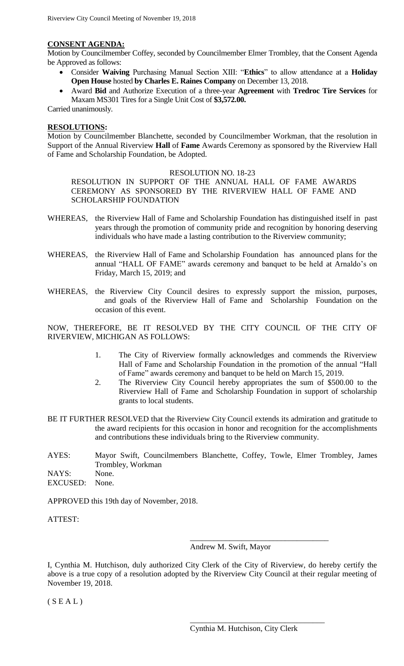#### **CONSENT AGENDA:**

Motion by Councilmember Coffey, seconded by Councilmember Elmer Trombley, that the Consent Agenda be Approved as follows:

- Consider **Waiving** Purchasing Manual Section XIII: "**Ethics**" to allow attendance at a **Holiday Open House** hosted **by Charles E. Raines Company** on December 13, 2018.
- Award **Bid** and Authorize Execution of a three-year **Agreement** with **Tredroc Tire Services** for Maxam MS301 Tires for a Single Unit Cost of **\$3,572.00.**

Carried unanimously.

#### **RESOLUTIONS:**

Motion by Councilmember Blanchette, seconded by Councilmember Workman, that the resolution in Support of the Annual Riverview **Hall** of **Fame** Awards Ceremony as sponsored by the Riverview Hall of Fame and Scholarship Foundation, be Adopted.

#### RESOLUTION NO. 18-23

RESOLUTION IN SUPPORT OF THE ANNUAL HALL OF FAME AWARDS CEREMONY AS SPONSORED BY THE RIVERVIEW HALL OF FAME AND SCHOLARSHIP FOUNDATION

- WHEREAS, the Riverview Hall of Fame and Scholarship Foundation has distinguished itself in past years through the promotion of community pride and recognition by honoring deserving individuals who have made a lasting contribution to the Riverview community;
- WHEREAS, the Riverview Hall of Fame and Scholarship Foundation has announced plans for the annual "HALL OF FAME" awards ceremony and banquet to be held at Arnaldo's on Friday, March 15, 2019; and
- WHEREAS, the Riverview City Council desires to expressly support the mission, purposes, and goals of the Riverview Hall of Fame and Scholarship Foundation on the occasion of this event.

NOW, THEREFORE, BE IT RESOLVED BY THE CITY COUNCIL OF THE CITY OF RIVERVIEW, MICHIGAN AS FOLLOWS:

- 1. The City of Riverview formally acknowledges and commends the Riverview Hall of Fame and Scholarship Foundation in the promotion of the annual "Hall of Fame" awards ceremony and banquet to be held on March 15, 2019.
- 2. The Riverview City Council hereby appropriates the sum of \$500.00 to the Riverview Hall of Fame and Scholarship Foundation in support of scholarship grants to local students.
- BE IT FURTHER RESOLVED that the Riverview City Council extends its admiration and gratitude to the award recipients for this occasion in honor and recognition for the accomplishments and contributions these individuals bring to the Riverview community.
- AYES: Mayor Swift, Councilmembers Blanchette, Coffey, Towle, Elmer Trombley, James Trombley, Workman NAYS: None. EXCUSED: None.

APPROVED this 19th day of November, 2018.

ATTEST:

Andrew M. Swift, Mayor

\_\_\_\_\_\_\_\_\_\_\_\_\_\_\_\_\_\_\_\_\_\_\_\_\_\_\_\_\_\_\_\_\_\_\_

I, Cynthia M. Hutchison, duly authorized City Clerk of the City of Riverview, do hereby certify the above is a true copy of a resolution adopted by the Riverview City Council at their regular meeting of November 19, 2018.

 $(S E A L)$ 

\_\_\_\_\_\_\_\_\_\_\_\_\_\_\_\_\_\_\_\_\_\_\_\_\_\_\_\_\_\_\_\_\_\_